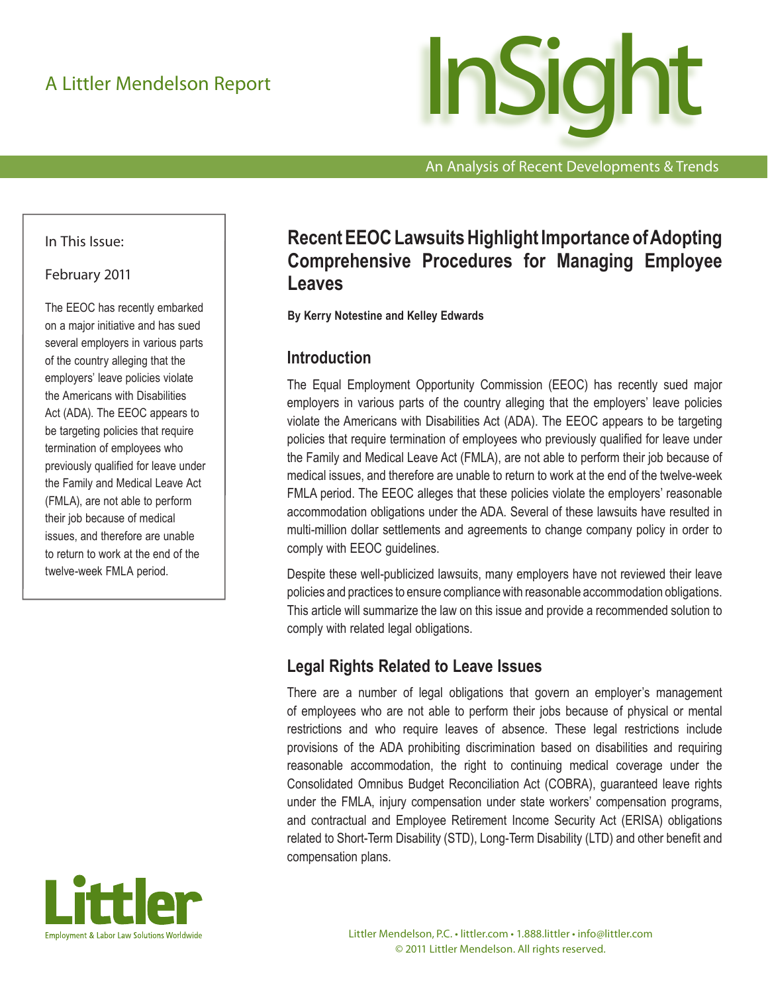

An Analysis of Recent Developments & Trends

#### In This Issue:

#### February 2011

The EEOC has recently embarked on a major initiative and has sued several employers in various parts of the country alleging that the employers' leave policies violate the Americans with Disabilities Act (ADA). The EEOC appears to be targeting policies that require termination of employees who previously qualified for leave under the Family and Medical Leave Act (FMLA), are not able to perform their job because of medical issues, and therefore are unable to return to work at the end of the twelve-week FMLA period.



# **Recent EEOC Lawsuits Highlight Importance of Adopting Comprehensive Procedures for Managing Employee Leaves**

**By Kerry Notestine and Kelley Edwards**

### **Introduction**

The Equal Employment Opportunity Commission (EEOC) has recently sued major employers in various parts of the country alleging that the employers' leave policies violate the Americans with Disabilities Act (ADA). The EEOC appears to be targeting policies that require termination of employees who previously qualified for leave under the Family and Medical Leave Act (FMLA), are not able to perform their job because of medical issues, and therefore are unable to return to work at the end of the twelve-week FMLA period. The EEOC alleges that these policies violate the employers' reasonable accommodation obligations under the ADA. Several of these lawsuits have resulted in multi-million dollar settlements and agreements to change company policy in order to comply with EEOC guidelines.

Despite these well-publicized lawsuits, many employers have not reviewed their leave policies and practices to ensure compliance with reasonable accommodation obligations. This article will summarize the law on this issue and provide a recommended solution to comply with related legal obligations.

### **Legal Rights Related to Leave Issues**

There are a number of legal obligations that govern an employer's management of employees who are not able to perform their jobs because of physical or mental restrictions and who require leaves of absence. These legal restrictions include provisions of the ADA prohibiting discrimination based on disabilities and requiring reasonable accommodation, the right to continuing medical coverage under the Consolidated Omnibus Budget Reconciliation Act (COBRA), guaranteed leave rights under the FMLA, injury compensation under state workers' compensation programs, and contractual and Employee Retirement Income Security Act (ERISA) obligations related to Short-Term Disability (STD), Long-Term Disability (LTD) and other benefit and compensation plans.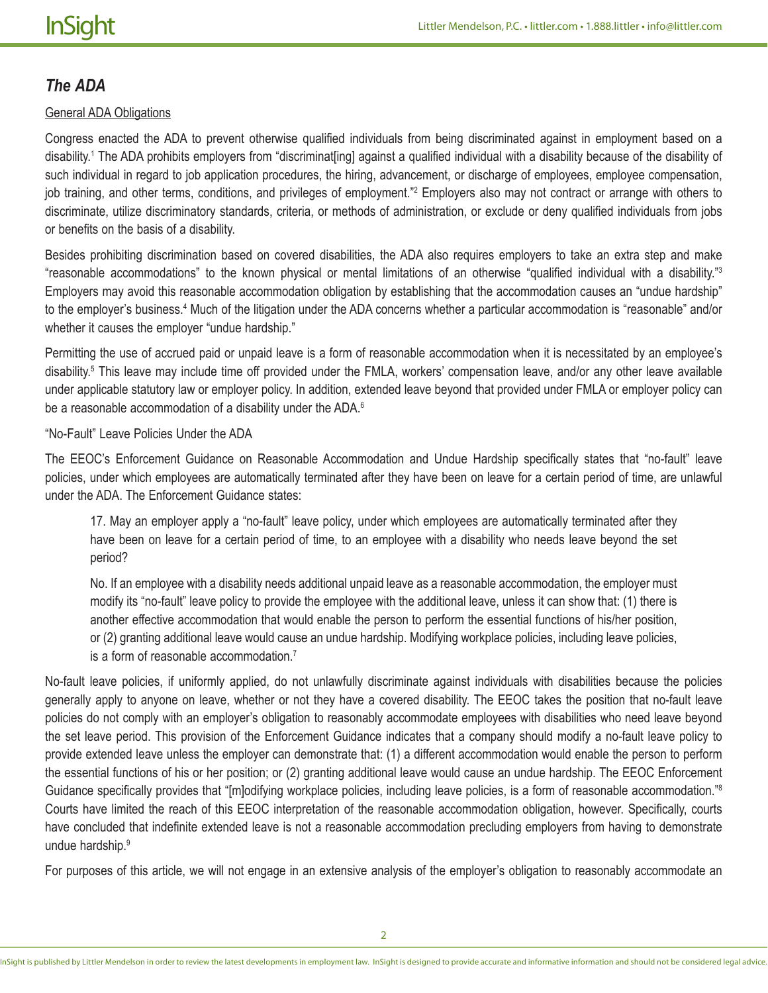### *The ADA*

#### General ADA Obligations

Congress enacted the ADA to prevent otherwise qualified individuals from being discriminated against in employment based on a disability.<sup>1</sup> The ADA prohibits employers from "discriminat[ing] against a qualified individual with a disability because of the disability of such individual in regard to job application procedures, the hiring, advancement, or discharge of employees, employee compensation, job training, and other terms, conditions, and privileges of employment." Employers also may not contract or arrange with others to discriminate, utilize discriminatory standards, criteria, or methods of administration, or exclude or deny qualified individuals from jobs or benefits on the basis of a disability.

Besides prohibiting discrimination based on covered disabilities, the ADA also requires employers to take an extra step and make "reasonable accommodations" to the known physical or mental limitations of an otherwise "qualified individual with a disability."<sup>3</sup> Employers may avoid this reasonable accommodation obligation by establishing that the accommodation causes an "undue hardship" to the employer's business.<sup>4</sup> Much of the litigation under the ADA concerns whether a particular accommodation is "reasonable" and/or whether it causes the employer "undue hardship."

Permitting the use of accrued paid or unpaid leave is a form of reasonable accommodation when it is necessitated by an employee's disability.5 This leave may include time off provided under the FMLA, workers' compensation leave, and/or any other leave available under applicable statutory law or employer policy. In addition, extended leave beyond that provided under FMLA or employer policy can be a reasonable accommodation of a disability under the ADA.<sup>6</sup>

"No-Fault" Leave Policies Under the ADA

The EEOC's Enforcement Guidance on Reasonable Accommodation and Undue Hardship specifically states that "no-fault" leave policies, under which employees are automatically terminated after they have been on leave for a certain period of time, are unlawful under the ADA. The Enforcement Guidance states:

17. May an employer apply a "no-fault" leave policy, under which employees are automatically terminated after they have been on leave for a certain period of time, to an employee with a disability who needs leave beyond the set period?

No. If an employee with a disability needs additional unpaid leave as a reasonable accommodation, the employer must modify its "no-fault" leave policy to provide the employee with the additional leave, unless it can show that: (1) there is another effective accommodation that would enable the person to perform the essential functions of his/her position, or (2) granting additional leave would cause an undue hardship. Modifying workplace policies, including leave policies, is a form of reasonable accommodation.7

No-fault leave policies, if uniformly applied, do not unlawfully discriminate against individuals with disabilities because the policies generally apply to anyone on leave, whether or not they have a covered disability. The EEOC takes the position that no-fault leave policies do not comply with an employer's obligation to reasonably accommodate employees with disabilities who need leave beyond the set leave period. This provision of the Enforcement Guidance indicates that a company should modify a no-fault leave policy to provide extended leave unless the employer can demonstrate that: (1) a different accommodation would enable the person to perform the essential functions of his or her position; or (2) granting additional leave would cause an undue hardship. The EEOC Enforcement Guidance specifically provides that "[m]odifying workplace policies, including leave policies, is a form of reasonable accommodation."<sup>8</sup> Courts have limited the reach of this EEOC interpretation of the reasonable accommodation obligation, however. Specifically, courts have concluded that indefinite extended leave is not a reasonable accommodation precluding employers from having to demonstrate undue hardship.9

For purposes of this article, we will not engage in an extensive analysis of the employer's obligation to reasonably accommodate an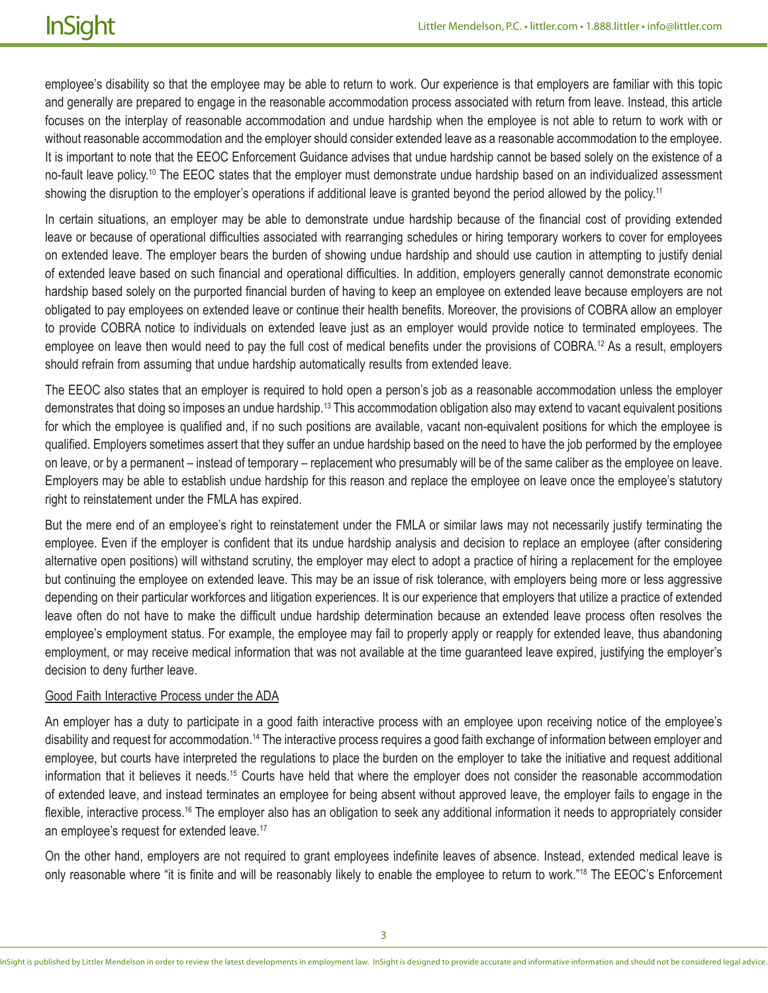employee's disability so that the employee may be able to return to work. Our experience is that employers are familiar with this topic and generally are prepared to engage in the reasonable accommodation process associated with return from leave. Instead, this article focuses on the interplay of reasonable accommodation and undue hardship when the employee is not able to return to work with or without reasonable accommodation and the employer should consider extended leave as a reasonable accommodation to the employee. It is important to note that the EEOC Enforcement Guidance advises that undue hardship cannot be based solely on the existence of a no-fault leave policy.<sup>10</sup> The EEOC states that the employer must demonstrate undue hardship based on an individualized assessment showing the disruption to the employer's operations if additional leave is granted beyond the period allowed by the policy.<sup>11</sup>

In certain situations, an employer may be able to demonstrate undue hardship because of the financial cost of providing extended leave or because of operational difficulties associated with rearranging schedules or hiring temporary workers to cover for employees on extended leave. The employer bears the burden of showing undue hardship and should use caution in attempting to justify denial of extended leave based on such financial and operational difficulties. In addition, employers generally cannot demonstrate economic hardship based solely on the purported financial burden of having to keep an employee on extended leave because employers are not obligated to pay employees on extended leave or continue their health benefits. Moreover, the provisions of COBRA allow an employer to provide COBRA notice to individuals on extended leave just as an employer would provide notice to terminated employees. The employee on leave then would need to pay the full cost of medical benefits under the provisions of COBRA.<sup>12</sup> As a result, employers should refrain from assuming that undue hardship automatically results from extended leave.

The EEOC also states that an employer is required to hold open a person's job as a reasonable accommodation unless the employer demonstrates that doing so imposes an undue hardship.13 This accommodation obligation also may extend to vacant equivalent positions for which the employee is qualified and, if no such positions are available, vacant non-equivalent positions for which the employee is qualified. Employers sometimes assert that they suffer an undue hardship based on the need to have the job performed by the employee on leave, or by a permanent – instead of temporary – replacement who presumably will be of the same caliber as the employee on leave. Employers may be able to establish undue hardship for this reason and replace the employee on leave once the employee's statutory right to reinstatement under the FMLA has expired.

But the mere end of an employee's right to reinstatement under the FMLA or similar laws may not necessarily justify terminating the employee. Even if the employer is confident that its undue hardship analysis and decision to replace an employee (after considering alternative open positions) will withstand scrutiny, the employer may elect to adopt a practice of hiring a replacement for the employee but continuing the employee on extended leave. This may be an issue of risk tolerance, with employers being more or less aggressive depending on their particular workforces and litigation experiences. It is our experience that employers that utilize a practice of extended leave often do not have to make the difficult undue hardship determination because an extended leave process often resolves the employee's employment status. For example, the employee may fail to properly apply or reapply for extended leave, thus abandoning employment, or may receive medical information that was not available at the time guaranteed leave expired, justifying the employer's decision to deny further leave.

#### Good Faith Interactive Process under the ADA

An employer has a duty to participate in a good faith interactive process with an employee upon receiving notice of the employee's disability and request for accommodation.14 The interactive process requires a good faith exchange of information between employer and employee, but courts have interpreted the regulations to place the burden on the employer to take the initiative and request additional information that it believes it needs.15 Courts have held that where the employer does not consider the reasonable accommodation of extended leave, and instead terminates an employee for being absent without approved leave, the employer fails to engage in the flexible, interactive process.<sup>16</sup> The employer also has an obligation to seek any additional information it needs to appropriately consider an employee's request for extended leave.<sup>17</sup>

On the other hand, employers are not required to grant employees indefinite leaves of absence. Instead, extended medical leave is only reasonable where "it is finite and will be reasonably likely to enable the employee to return to work."18 The EEOC's Enforcement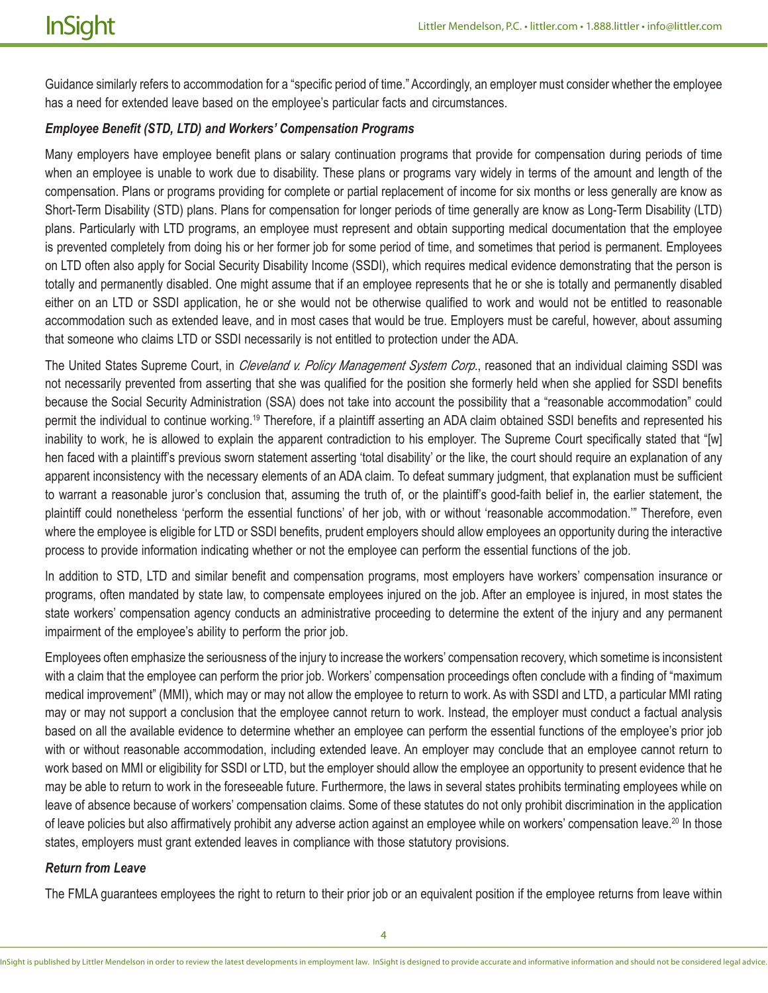Guidance similarly refers to accommodation for a "specific period of time." Accordingly, an employer must consider whether the employee has a need for extended leave based on the employee's particular facts and circumstances.

#### *Employee Benefit (STD, LTD) and Workers' Compensation Programs*

Many employers have employee benefit plans or salary continuation programs that provide for compensation during periods of time when an employee is unable to work due to disability. These plans or programs vary widely in terms of the amount and length of the compensation. Plans or programs providing for complete or partial replacement of income for six months or less generally are know as Short-Term Disability (STD) plans. Plans for compensation for longer periods of time generally are know as Long-Term Disability (LTD) plans. Particularly with LTD programs, an employee must represent and obtain supporting medical documentation that the employee is prevented completely from doing his or her former job for some period of time, and sometimes that period is permanent. Employees on LTD often also apply for Social Security Disability Income (SSDI), which requires medical evidence demonstrating that the person is totally and permanently disabled. One might assume that if an employee represents that he or she is totally and permanently disabled either on an LTD or SSDI application, he or she would not be otherwise qualified to work and would not be entitled to reasonable accommodation such as extended leave, and in most cases that would be true. Employers must be careful, however, about assuming that someone who claims LTD or SSDI necessarily is not entitled to protection under the ADA.

The United States Supreme Court, in *Cleveland v. Policy Management System Corp*., reasoned that an individual claiming SSDI was not necessarily prevented from asserting that she was qualified for the position she formerly held when she applied for SSDI benefits because the Social Security Administration (SSA) does not take into account the possibility that a "reasonable accommodation" could permit the individual to continue working.19 Therefore, if a plaintiff asserting an ADA claim obtained SSDI benefits and represented his inability to work, he is allowed to explain the apparent contradiction to his employer. The Supreme Court specifically stated that "[w] hen faced with a plaintiff's previous sworn statement asserting 'total disability' or the like, the court should require an explanation of any apparent inconsistency with the necessary elements of an ADA claim. To defeat summary judgment, that explanation must be sufficient to warrant a reasonable juror's conclusion that, assuming the truth of, or the plaintiff's good-faith belief in, the earlier statement, the plaintiff could nonetheless 'perform the essential functions' of her job, with or without 'reasonable accommodation.'" Therefore, even where the employee is eligible for LTD or SSDI benefits, prudent employers should allow employees an opportunity during the interactive process to provide information indicating whether or not the employee can perform the essential functions of the job.

In addition to STD, LTD and similar benefit and compensation programs, most employers have workers' compensation insurance or programs, often mandated by state law, to compensate employees injured on the job. After an employee is injured, in most states the state workers' compensation agency conducts an administrative proceeding to determine the extent of the injury and any permanent impairment of the employee's ability to perform the prior job.

Employees often emphasize the seriousness of the injury to increase the workers' compensation recovery, which sometime is inconsistent with a claim that the employee can perform the prior job. Workers' compensation proceedings often conclude with a finding of "maximum medical improvement" (MMI), which may or may not allow the employee to return to work. As with SSDI and LTD, a particular MMI rating may or may not support a conclusion that the employee cannot return to work. Instead, the employer must conduct a factual analysis based on all the available evidence to determine whether an employee can perform the essential functions of the employee's prior job with or without reasonable accommodation, including extended leave. An employer may conclude that an employee cannot return to work based on MMI or eligibility for SSDI or LTD, but the employer should allow the employee an opportunity to present evidence that he may be able to return to work in the foreseeable future. Furthermore, the laws in several states prohibits terminating employees while on leave of absence because of workers' compensation claims. Some of these statutes do not only prohibit discrimination in the application of leave policies but also affirmatively prohibit any adverse action against an employee while on workers' compensation leave.20 In those states, employers must grant extended leaves in compliance with those statutory provisions.

#### *Return from Leave*

The FMLA guarantees employees the right to return to their prior job or an equivalent position if the employee returns from leave within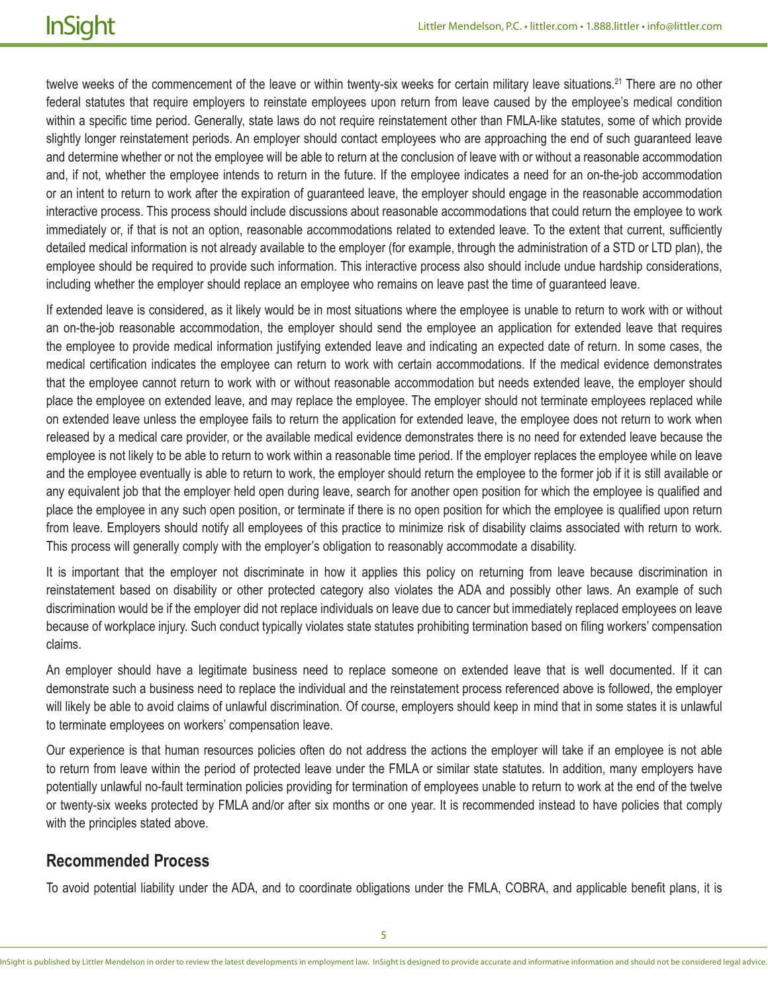twelve weeks of the commencement of the leave or within twenty-six weeks for certain military leave situations.<sup>21</sup> There are no other federal statutes that require employers to reinstate employees upon return from leave caused by the employee's medical condition within a specific time period. Generally, state laws do not require reinstatement other than FMLA-like statutes, some of which provide slightly longer reinstatement periods. An employer should contact employees who are approaching the end of such guaranteed leave and determine whether or not the employee will be able to return at the conclusion of leave with or without a reasonable accommodation and, if not, whether the employee intends to return in the future. If the employee indicates a need for an on-the-job accommodation or an intent to return to work after the expiration of guaranteed leave, the employer should engage in the reasonable accommodation interactive process. This process should include discussions about reasonable accommodations that could return the employee to work immediately or, if that is not an option, reasonable accommodations related to extended leave. To the extent that current, sufficiently detailed medical information is not already available to the employer (for example, through the administration of a STD or LTD plan), the employee should be required to provide such information. This interactive process also should include undue hardship considerations, including whether the employer should replace an employee who remains on leave past the time of guaranteed leave.

If extended leave is considered, as it likely would be in most situations where the employee is unable to return to work with or without an on-the-job reasonable accommodation, the employer should send the employee an application for extended leave that requires the employee to provide medical information justifying extended leave and indicating an expected date of return. In some cases, the medical certification indicates the employee can return to work with certain accommodations. If the medical evidence demonstrates that the employee cannot return to work with or without reasonable accommodation but needs extended leave, the employer should place the employee on extended leave, and may replace the employee. The employer should not terminate employees replaced while on extended leave unless the employee fails to return the application for extended leave, the employee does not return to work when released by a medical care provider, or the available medical evidence demonstrates there is no need for extended leave because the employee is not likely to be able to return to work within a reasonable time period. If the employer replaces the employee while on leave and the employee eventually is able to return to work, the employer should return the employee to the former job if it is still available or any equivalent job that the employer held open during leave, search for another open position for which the employee is qualified and place the employee in any such open position, or terminate if there is no open position for which the employee is qualified upon return from leave. Employers should notify all employees of this practice to minimize risk of disability claims associated with return to work. This process will generally comply with the employer's obligation to reasonably accommodate a disability.

It is important that the employer not discriminate in how it applies this policy on returning from leave because discrimination in reinstatement based on disability or other protected category also violates the ADA and possibly other laws. An example of such discrimination would be if the employer did not replace individuals on leave due to cancer but immediately replaced employees on leave because of workplace injury. Such conduct typically violates state statutes prohibiting termination based on filing workers' compensation claims.

An employer should have a legitimate business need to replace someone on extended leave that is well documented. If it can demonstrate such a business need to replace the individual and the reinstatement process referenced above is followed, the employer will likely be able to avoid claims of unlawful discrimination. Of course, employers should keep in mind that in some states it is unlawful to terminate employees on workers' compensation leave.

Our experience is that human resources policies often do not address the actions the employer will take if an employee is not able to return from leave within the period of protected leave under the FMLA or similar state statutes. In addition, many employers have potentially unlawful no-fault termination policies providing for termination of employees unable to return to work at the end of the twelve or twenty-six weeks protected by FMLA and/or after six months or one year. It is recommended instead to have policies that comply with the principles stated above.

## **Recommended Process**

To avoid potential liability under the ADA, and to coordinate obligations under the FMLA, COBRA, and applicable benefit plans, it is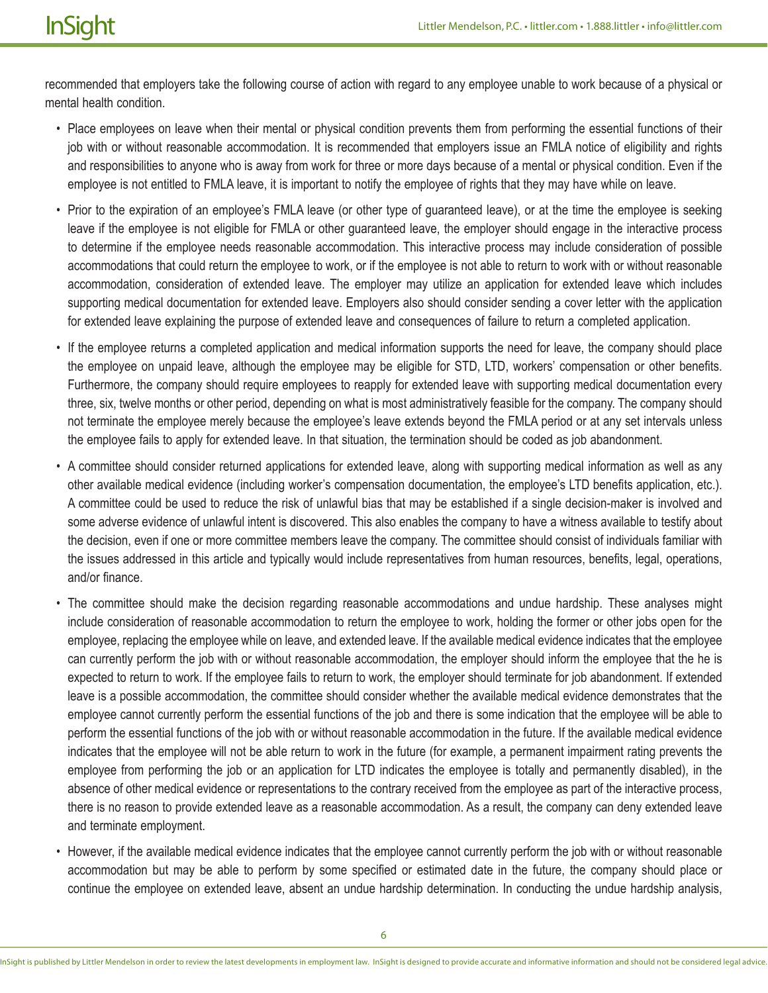recommended that employers take the following course of action with regard to any employee unable to work because of a physical or mental health condition.

- Place employees on leave when their mental or physical condition prevents them from performing the essential functions of their job with or without reasonable accommodation. It is recommended that employers issue an FMLA notice of eligibility and rights and responsibilities to anyone who is away from work for three or more days because of a mental or physical condition. Even if the employee is not entitled to FMLA leave, it is important to notify the employee of rights that they may have while on leave.
- Prior to the expiration of an employee's FMLA leave (or other type of guaranteed leave), or at the time the employee is seeking leave if the employee is not eligible for FMLA or other guaranteed leave, the employer should engage in the interactive process to determine if the employee needs reasonable accommodation. This interactive process may include consideration of possible accommodations that could return the employee to work, or if the employee is not able to return to work with or without reasonable accommodation, consideration of extended leave. The employer may utilize an application for extended leave which includes supporting medical documentation for extended leave. Employers also should consider sending a cover letter with the application for extended leave explaining the purpose of extended leave and consequences of failure to return a completed application.
- If the employee returns a completed application and medical information supports the need for leave, the company should place the employee on unpaid leave, although the employee may be eligible for STD, LTD, workers' compensation or other benefits. Furthermore, the company should require employees to reapply for extended leave with supporting medical documentation every three, six, twelve months or other period, depending on what is most administratively feasible for the company. The company should not terminate the employee merely because the employee's leave extends beyond the FMLA period or at any set intervals unless the employee fails to apply for extended leave. In that situation, the termination should be coded as job abandonment.
- A committee should consider returned applications for extended leave, along with supporting medical information as well as any other available medical evidence (including worker's compensation documentation, the employee's LTD benefits application, etc.). A committee could be used to reduce the risk of unlawful bias that may be established if a single decision-maker is involved and some adverse evidence of unlawful intent is discovered. This also enables the company to have a witness available to testify about the decision, even if one or more committee members leave the company. The committee should consist of individuals familiar with the issues addressed in this article and typically would include representatives from human resources, benefits, legal, operations, and/or finance.
- The committee should make the decision regarding reasonable accommodations and undue hardship. These analyses might include consideration of reasonable accommodation to return the employee to work, holding the former or other jobs open for the employee, replacing the employee while on leave, and extended leave. If the available medical evidence indicates that the employee can currently perform the job with or without reasonable accommodation, the employer should inform the employee that the he is expected to return to work. If the employee fails to return to work, the employer should terminate for job abandonment. If extended leave is a possible accommodation, the committee should consider whether the available medical evidence demonstrates that the employee cannot currently perform the essential functions of the job and there is some indication that the employee will be able to perform the essential functions of the job with or without reasonable accommodation in the future. If the available medical evidence indicates that the employee will not be able return to work in the future (for example, a permanent impairment rating prevents the employee from performing the job or an application for LTD indicates the employee is totally and permanently disabled), in the absence of other medical evidence or representations to the contrary received from the employee as part of the interactive process, there is no reason to provide extended leave as a reasonable accommodation. As a result, the company can deny extended leave and terminate employment.
- However, if the available medical evidence indicates that the employee cannot currently perform the job with or without reasonable accommodation but may be able to perform by some specified or estimated date in the future, the company should place or continue the employee on extended leave, absent an undue hardship determination. In conducting the undue hardship analysis,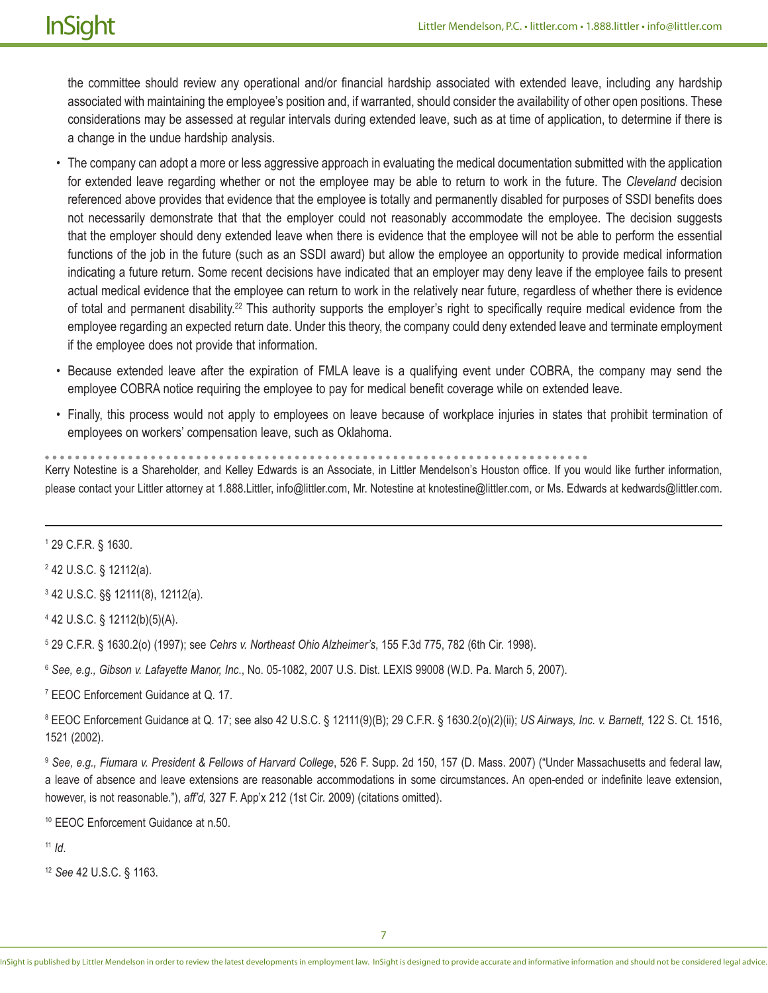the committee should review any operational and/or financial hardship associated with extended leave, including any hardship associated with maintaining the employee's position and, if warranted, should consider the availability of other open positions. These considerations may be assessed at regular intervals during extended leave, such as at time of application, to determine if there is a change in the undue hardship analysis.

- The company can adopt a more or less aggressive approach in evaluating the medical documentation submitted with the application for extended leave regarding whether or not the employee may be able to return to work in the future. The *Cleveland* decision referenced above provides that evidence that the employee is totally and permanently disabled for purposes of SSDI benefits does not necessarily demonstrate that that the employer could not reasonably accommodate the employee. The decision suggests that the employer should deny extended leave when there is evidence that the employee will not be able to perform the essential functions of the job in the future (such as an SSDI award) but allow the employee an opportunity to provide medical information indicating a future return. Some recent decisions have indicated that an employer may deny leave if the employee fails to present actual medical evidence that the employee can return to work in the relatively near future, regardless of whether there is evidence of total and permanent disability.<sup>22</sup> This authority supports the employer's right to specifically require medical evidence from the employee regarding an expected return date. Under this theory, the company could deny extended leave and terminate employment if the employee does not provide that information.
- Because extended leave after the expiration of FMLA leave is a qualifying event under COBRA, the company may send the employee COBRA notice requiring the employee to pay for medical benefit coverage while on extended leave.
- Finally, this process would not apply to employees on leave because of workplace injuries in states that prohibit termination of employees on workers' compensation leave, such as Oklahoma.

. . . . . . . . . . .

Kerry Notestine is a Shareholder, and Kelley Edwards is an Associate, in Littler Mendelson's Houston office. If you would like further information, please contact your Littler attorney at 1.888.Littler, info@littler.com, Mr. Notestine at knotestine@littler.com, or Ms. Edwards at kedwards@littler.com.

1 29 C.F.R. § 1630.

2 42 U.S.C. § 12112(a).

3 42 U.S.C. §§ 12111(8), 12112(a).

4 42 U.S.C. § 12112(b)(5)(A).

5 29 C.F.R. § 1630.2(o) (1997); see *Cehrs v. Northeast Ohio Alzheimer's*, 155 F.3d 775, 782 (6th Cir. 1998).

<sup>6</sup> *See, e.g., Gibson v. Lafayette Manor, Inc*., No. 05-1082, 2007 U.S. Dist. LEXIS 99008 (W.D. Pa. March 5, 2007).

7 EEOC Enforcement Guidance at Q. 17.

8 EEOC Enforcement Guidance at Q. 17; see also 42 U.S.C. § 12111(9)(B); 29 C.F.R. § 1630.2(o)(2)(ii); *US Airways, Inc. v. Barnett,* 122 S. Ct. 1516, 1521 (2002).

<sup>9</sup> *See, e.g., Fiumara v. President & Fellows of Harvard College*, 526 F. Supp. 2d 150, 157 (D. Mass. 2007) ("Under Massachusetts and federal law, a leave of absence and leave extensions are reasonable accommodations in some circumstances. An open-ended or indefinite leave extension, however, is not reasonable."), *aff'd,* 327 F. App'x 212 (1st Cir. 2009) (citations omitted).

10 EEOC Enforcement Guidance at n.50.

<sup>11</sup> *Id*.

<sup>12</sup> *See* 42 U.S.C. § 1163.